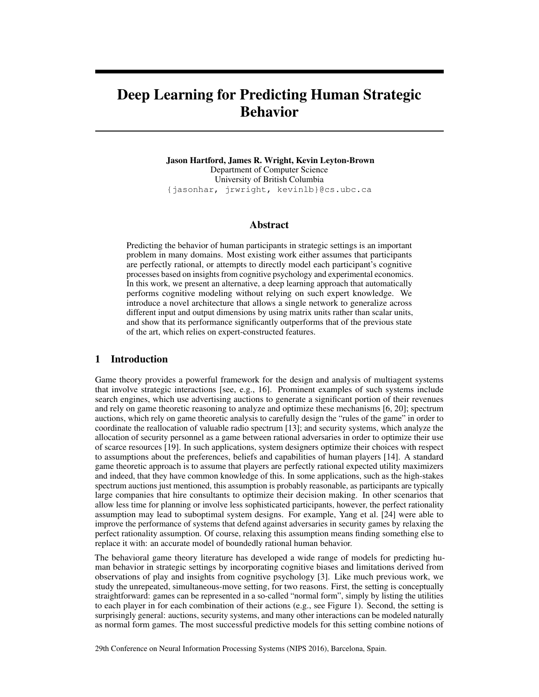# Deep Learning for Predicting Human Strategic Behavior

Jason Hartford, James R. Wright, Kevin Leyton-Brown Department of Computer Science University of British Columbia {jasonhar, jrwright, kevinlb}@cs.ubc.ca

## Abstract

Predicting the behavior of human participants in strategic settings is an important problem in many domains. Most existing work either assumes that participants are perfectly rational, or attempts to directly model each participant's cognitive processes based on insights from cognitive psychology and experimental economics. In this work, we present an alternative, a deep learning approach that automatically performs cognitive modeling without relying on such expert knowledge. We introduce a novel architecture that allows a single network to generalize across different input and output dimensions by using matrix units rather than scalar units, and show that its performance significantly outperforms that of the previous state of the art, which relies on expert-constructed features.

#### 1 Introduction

Game theory provides a powerful framework for the design and analysis of multiagent systems that involve strategic interactions [see, e.g., [16\]](#page-8-0). Prominent examples of such systems include search engines, which use advertising auctions to generate a significant portion of their revenues and rely on game theoretic reasoning to analyze and optimize these mechanisms [\[6,](#page-8-1) [20\]](#page-8-2); spectrum auctions, which rely on game theoretic analysis to carefully design the "rules of the game" in order to coordinate the reallocation of valuable radio spectrum [\[13\]](#page-8-3); and security systems, which analyze the allocation of security personnel as a game between rational adversaries in order to optimize their use of scarce resources [\[19\]](#page-8-4). In such applications, system designers optimize their choices with respect to assumptions about the preferences, beliefs and capabilities of human players [\[14\]](#page-8-5). A standard game theoretic approach is to assume that players are perfectly rational expected utility maximizers and indeed, that they have common knowledge of this. In some applications, such as the high-stakes spectrum auctions just mentioned, this assumption is probably reasonable, as participants are typically large companies that hire consultants to optimize their decision making. In other scenarios that allow less time for planning or involve less sophisticated participants, however, the perfect rationality assumption may lead to suboptimal system designs. For example, Yang et al. [\[24\]](#page-8-6) were able to improve the performance of systems that defend against adversaries in security games by relaxing the perfect rationality assumption. Of course, relaxing this assumption means finding something else to replace it with: an accurate model of boundedly rational human behavior.

The behavioral game theory literature has developed a wide range of models for predicting human behavior in strategic settings by incorporating cognitive biases and limitations derived from observations of play and insights from cognitive psychology [\[3\]](#page-8-7). Like much previous work, we study the unrepeated, simultaneous-move setting, for two reasons. First, the setting is conceptually straightforward: games can be represented in a so-called "normal form", simply by listing the utilities to each player in for each combination of their actions (e.g., see Figure [1\)](#page-1-0). Second, the setting is surprisingly general: auctions, security systems, and many other interactions can be modeled naturally as normal form games. The most successful predictive models for this setting combine notions of

29th Conference on Neural Information Processing Systems (NIPS 2016), Barcelona, Spain.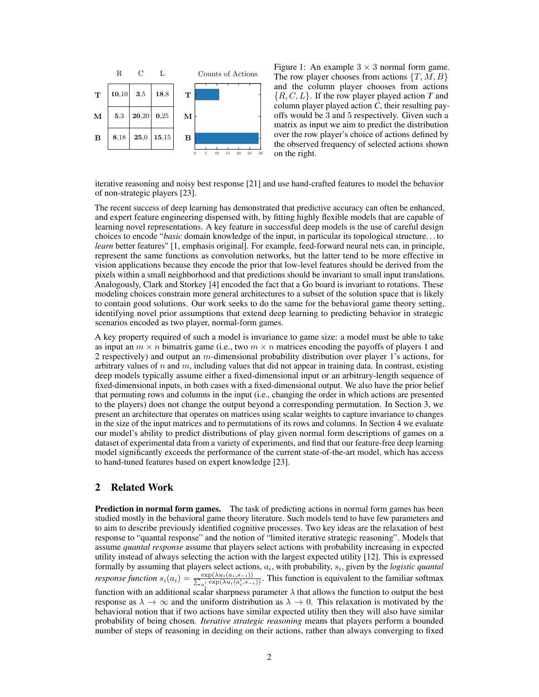<span id="page-1-0"></span>

Figure 1: An example  $3 \times 3$  normal form game. The row player chooses from actions  $\{T, M, B\}$ and the column player chooses from actions {R, C, L}. If the row player played action *T* and column player played action *C*, their resulting payoffs would be 3 and 5 respectively. Given such a matrix as input we aim to predict the distribution over the row player's choice of actions defined by the observed frequency of selected actions shown on the right.

iterative reasoning and noisy best response [\[21\]](#page-8-8) and use hand-crafted features to model the behavior of non-strategic players [\[23\]](#page-8-9).

The recent success of deep learning has demonstrated that predictive accuracy can often be enhanced, and expert feature engineering dispensed with, by fitting highly flexible models that are capable of learning novel representations. A key feature in successful deep models is the use of careful design choices to encode "*basic* domain knowledge of the input, in particular its topological structure. . . to *learn* better features" [\[1,](#page-8-10) emphasis original]. For example, feed-forward neural nets can, in principle, represent the same functions as convolution networks, but the latter tend to be more effective in vision applications because they encode the prior that low-level features should be derived from the pixels within a small neighborhood and that predictions should be invariant to small input translations. Analogously, Clark and Storkey [\[4\]](#page-8-11) encoded the fact that a Go board is invariant to rotations. These modeling choices constrain more general architectures to a subset of the solution space that is likely to contain good solutions. Our work seeks to do the same for the behavioral game theory setting, identifying novel prior assumptions that extend deep learning to predicting behavior in strategic scenarios encoded as two player, normal-form games.

A key property required of such a model is invariance to game size: a model must be able to take as input an  $m \times n$  bimatrix game (i.e., two  $m \times n$  matrices encoding the payoffs of players 1 and 2 respectively) and output an m-dimensional probability distribution over player 1's actions, for arbitrary values of  $n$  and  $m$ , including values that did not appear in training data. In contrast, existing deep models typically assume either a fixed-dimensional input or an arbitrary-length sequence of fixed-dimensional inputs, in both cases with a fixed-dimensional output. We also have the prior belief that permuting rows and columns in the input (i.e., changing the order in which actions are presented to the players) does not change the output beyond a corresponding permutation. In Section [3,](#page-2-0) we present an architecture that operates on matrices using scalar weights to capture invariance to changes in the size of the input matrices and to permutations of its rows and columns. In Section [4](#page-6-0) we evaluate our model's ability to predict distributions of play given normal form descriptions of games on a dataset of experimental data from a variety of experiments, and find that our feature-free deep learning model significantly exceeds the performance of the current state-of-the-art model, which has access to hand-tuned features based on expert knowledge [\[23\]](#page-8-9).

## 2 Related Work

**Prediction in normal form games.** The task of predicting actions in normal form games has been studied mostly in the behavioral game theory literature. Such models tend to have few parameters and to aim to describe previously identified cognitive processes. Two key ideas are the relaxation of best response to "quantal response" and the notion of "limited iterative strategic reasoning". Models that assume *quantal response* assume that players select actions with probability increasing in expected utility instead of always selecting the action with the largest expected utility [\[12\]](#page-8-12). This is expressed formally by assuming that players select actions,  $a_i$ , with probability,  $s_i$ , given by the *logistic quantal response function*  $s_i(a_i) = \frac{\exp(\lambda u_i(a_i, s_{-i}))}{\sum_{a'} \exp(\lambda u_i(a'_i, s_{-i}))}$  $\frac{\exp(\lambda u_i(a_i, s_{-i}))}{a'_i \exp(\lambda u_i(a'_i, s_{-i}))}$ . This function is equivalent to the familiar softmax function with an additional scalar sharpness parameter  $\lambda$  that allows the function to output the best response as  $\lambda \to \infty$  and the uniform distribution as  $\lambda \to 0$ . This relaxation is motivated by the behavioral notion that if two actions have similar expected utility then they will also have similar probability of being chosen. *Iterative strategic reasoning* means that players perform a bounded

number of steps of reasoning in deciding on their actions, rather than always converging to fixed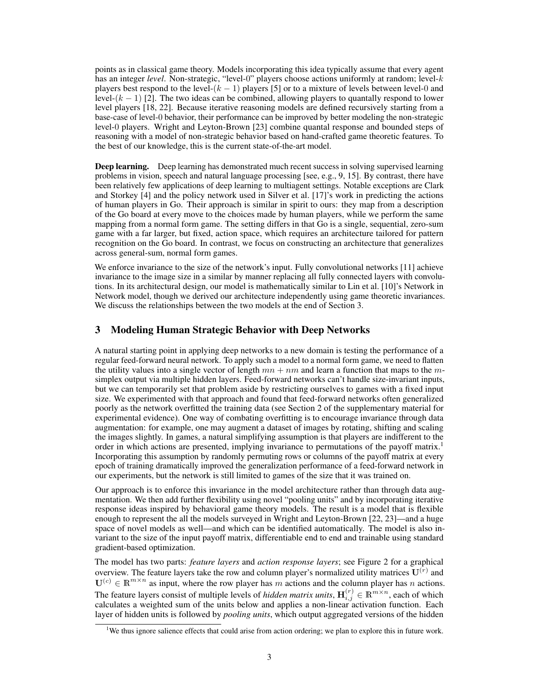points as in classical game theory. Models incorporating this idea typically assume that every agent has an integer *level*. Non-strategic, "level-0" players choose actions uniformly at random; level-k players best respond to the level- $(k - 1)$  players [\[5\]](#page-8-13) or to a mixture of levels between level-0 and level- $(k - 1)$  [\[2\]](#page-8-14). The two ideas can be combined, allowing players to quantally respond to lower level players [\[18,](#page-8-15) [22\]](#page-8-16). Because iterative reasoning models are defined recursively starting from a base-case of level-0 behavior, their performance can be improved by better modeling the non-strategic level-0 players. Wright and Leyton-Brown [\[23\]](#page-8-9) combine quantal response and bounded steps of reasoning with a model of non-strategic behavior based on hand-crafted game theoretic features. To the best of our knowledge, this is the current state-of-the-art model.

**Deep learning.** Deep learning has demonstrated much recent success in solving supervised learning problems in vision, speech and natural language processing [see, e.g., [9,](#page-8-17) [15\]](#page-8-18). By contrast, there have been relatively few applications of deep learning to multiagent settings. Notable exceptions are Clark and Storkey [\[4\]](#page-8-11) and the policy network used in Silver et al. [\[17\]](#page-8-19)'s work in predicting the actions of human players in Go. Their approach is similar in spirit to ours: they map from a description of the Go board at every move to the choices made by human players, while we perform the same mapping from a normal form game. The setting differs in that Go is a single, sequential, zero-sum game with a far larger, but fixed, action space, which requires an architecture tailored for pattern recognition on the Go board. In contrast, we focus on constructing an architecture that generalizes across general-sum, normal form games.

We enforce invariance to the size of the network's input. Fully convolutional networks [\[11\]](#page-8-20) achieve invariance to the image size in a similar by manner replacing all fully connected layers with convolutions. In its architectural design, our model is mathematically similar to Lin et al. [\[10\]](#page-8-21)'s Network in Network model, though we derived our architecture independently using game theoretic invariances. We discuss the relationships between the two models at the end of Section [3.](#page-6-1)

## <span id="page-2-0"></span>3 Modeling Human Strategic Behavior with Deep Networks

A natural starting point in applying deep networks to a new domain is testing the performance of a regular feed-forward neural network. To apply such a model to a normal form game, we need to flatten the utility values into a single vector of length  $mn + nm$  and learn a function that maps to the msimplex output via multiple hidden layers. Feed-forward networks can't handle size-invariant inputs, but we can temporarily set that problem aside by restricting ourselves to games with a fixed input size. We experimented with that approach and found that feed-forward networks often generalized poorly as the network overfitted the training data (see Section 2 of the supplementary material for experimental evidence). One way of combating overfitting is to encourage invariance through data augmentation: for example, one may augment a dataset of images by rotating, shifting and scaling the images slightly. In games, a natural simplifying assumption is that players are indifferent to the order in which actions are presented, implying invariance to permutations of the payoff matrix.[1](#page-2-1) Incorporating this assumption by randomly permuting rows or columns of the payoff matrix at every epoch of training dramatically improved the generalization performance of a feed-forward network in our experiments, but the network is still limited to games of the size that it was trained on.

Our approach is to enforce this invariance in the model architecture rather than through data augmentation. We then add further flexibility using novel "pooling units" and by incorporating iterative response ideas inspired by behavioral game theory models. The result is a model that is flexible enough to represent the all the models surveyed in Wright and Leyton-Brown [\[22,](#page-8-16) [23\]](#page-8-9)—and a huge space of novel models as well—and which can be identified automatically. The model is also invariant to the size of the input payoff matrix, differentiable end to end and trainable using standard gradient-based optimization.

The model has two parts: *feature layers* and *action response layers*; see Figure [2](#page-3-0) for a graphical overview. The feature layers take the row and column player's normalized utility matrices  $\mathbf{U}^{(r)}$  and  $\mathbf{U}^{(c)} \in \mathbb{R}^{m \times n}$  as input, where the row player has m actions and the column player has n actions. The feature layers consist of multiple levels of *hidden matrix units*,  $\mathbf{H}_{i,j}^{(r)} \in \mathbb{R}^{m \times n}$ , each of which calculates a weighted sum of the units below and applies a non-linear activation function. Each layer of hidden units is followed by *pooling units*, which output aggregated versions of the hidden

<span id="page-2-1"></span><sup>&</sup>lt;sup>1</sup>We thus ignore salience effects that could arise from action ordering; we plan to explore this in future work.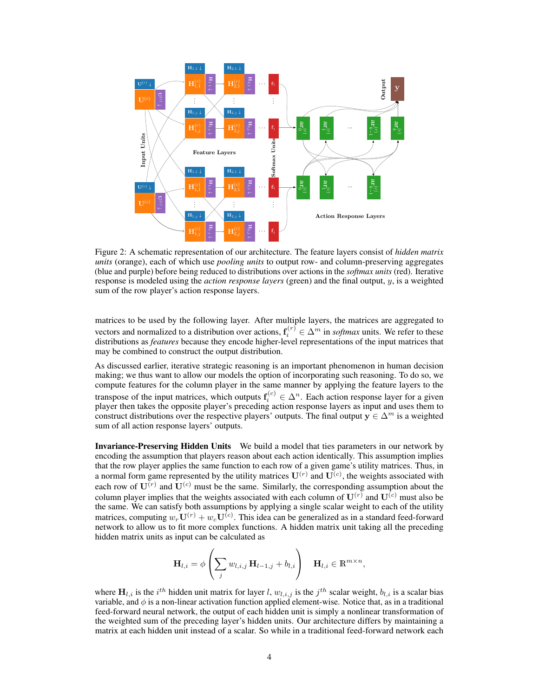<span id="page-3-0"></span>

Figure 2: A schematic representation of our architecture. The feature layers consist of *hidden matrix units* (orange), each of which use *pooling units* to output row- and column-preserving aggregates (blue and purple) before being reduced to distributions over actions in the *softmax units* (red). Iterative response is modeled using the *action response layers* (green) and the final output, y, is a weighted sum of the row player's action response layers.

matrices to be used by the following layer. After multiple layers, the matrices are aggregated to vectors and normalized to a distribution over actions,  $f_i^{(r)} \in \Delta^m$  in *softmax* units. We refer to these distributions as *features* because they encode higher-level representations of the input matrices that may be combined to construct the output distribution.

As discussed earlier, iterative strategic reasoning is an important phenomenon in human decision making; we thus want to allow our models the option of incorporating such reasoning. To do so, we compute features for the column player in the same manner by applying the feature layers to the transpose of the input matrices, which outputs  $f_i^{(c)} \in \Delta^n$ . Each action response layer for a given player then takes the opposite player's preceding action response layers as input and uses them to construct distributions over the respective players' outputs. The final output  $y \in \Delta^m$  is a weighted sum of all action response layers' outputs.

Invariance-Preserving Hidden Units We build a model that ties parameters in our network by encoding the assumption that players reason about each action identically. This assumption implies that the row player applies the same function to each row of a given game's utility matrices. Thus, in a normal form game represented by the utility matrices  $\mathbf{U}^{(r)}$  and  $\mathbf{U}^{(c)}$ , the weights associated with each row of  $U^{(r)}$  and  $U^{(c)}$  must be the same. Similarly, the corresponding assumption about the column player implies that the weights associated with each column of  $\mathbf{U}^{(r)}$  and  $\mathbf{U}^{(c)}$  must also be the same. We can satisfy both assumptions by applying a single scalar weight to each of the utility matrices, computing  $w_r \mathbf{U}^{(r)} + w_c \mathbf{U}^{(c)}$ . This idea can be generalized as in a standard feed-forward network to allow us to fit more complex functions. A hidden matrix unit taking all the preceding hidden matrix units as input can be calculated as

$$
\mathbf{H}_{l,i} = \phi \left( \sum_{j} w_{l,i,j} \, \mathbf{H}_{l-1,j} + b_{l,i} \right) \quad \mathbf{H}_{l,i} \in \mathbb{R}^{m \times n},
$$

where  $H_{l,i}$  is the  $i^{th}$  hidden unit matrix for layer l,  $w_{l,i,j}$  is the  $j^{th}$  scalar weight,  $b_{l,i}$  is a scalar bias variable, and  $\phi$  is a non-linear activation function applied element-wise. Notice that, as in a traditional feed-forward neural network, the output of each hidden unit is simply a nonlinear transformation of the weighted sum of the preceding layer's hidden units. Our architecture differs by maintaining a matrix at each hidden unit instead of a scalar. So while in a traditional feed-forward network each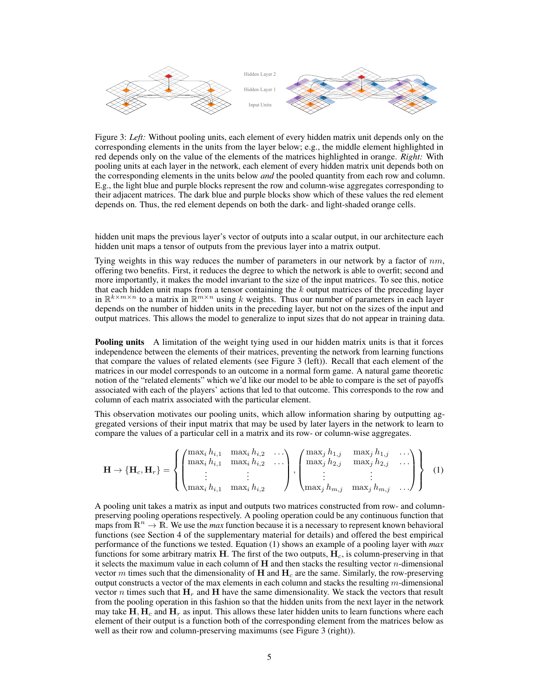<span id="page-4-0"></span>

Figure 3: Left: Without pooling units, each element of every hidden matrix unit depends only on the corresponding to the unit product in the units, teach the layer below; he can be middle element highlighted corresponding to the middle element highlighted in the layer below; he can be layer below; the middle element hig corresponding elements in the units from the layer below; e.g., the middle element highlighted in<br>and depends only on the subject the algorithm of the metrics highlighted in agency. Bight, With red depends only on the value of the elements of the matrices highlighted in orange. Right: With pooling units at each layer in the network, each element of every hidden matrix unit depends both on the corresponding elements in the units below *and* the pooled quantity from each row and column. E.g., the light blue and purple blocks represent the row and column-wise aggregates corresponding to L.g., the fight office and purple blocks represent the fow and column-wise aggregates corresponding to their adjacent matrices. The dark blue and purple blocks show which of these values the red element depends on. Thus, the red element depends on both the dark- and light-shaded orange cells.

midden unit maps the previous layer s vector of outputs into a scalar output, in our architecture hidden unit maps a tensor of outputs from the previous layer into a matrix output. hidden unit maps the previous layer's vector of outputs into a scalar output, in our architecture each matter in mapping the previous hayer system to be update more a seam output, in our architecture cannot hidden unit maps a tensor of outputs from the previous layer into a matrix output.

Tying weights in this way reduces the number of parameters in our network by a factor of  $nm$ , offering two benefits. First, it reduces the degree to which the network is able to overfit; second and more importantly, it makes the model invariant to the size of the input matrices. To see this, notice that each hidden unit maps from a tensor containing the k output matrices of the preceding layer in  $\mathbb{R}^{k \times m \times n}$  to a matrix in  $\mathbb{R}^{m \times n}$  using k weights. Thus our number of parameters in each layer depends on the number of higher than the preceding layer, but not on the sizes of the input and  $\frac{1}{2}$  depends on the sizes of the number of higher and  $\frac{1}{2}$  depends on the sizes of the input and  $\frac{1}{2}$  dependin output matrices. This allows the model to generalize to input sizes that do not appear in training depends on the number of hidden units in the preceding layer, but not on the sizes of the input and<br>output matrices. This allows the model to generalize to input sizes that do not appear in training data output matrices. This allows the model to generalize to input sizes that do not appear in training data.

Pooling units A limitation of the weight tying used in our hidden matrix units is that it for independence between the elements of their matrices, preventing the network from learning function that compare the values of related elements (see Figure 3 (left)). Becall that each element of that compare the values of related elements (see Figure [3](#page-4-0) (left)). Recall that each element of the matrices in our model corresponds to an outcome in a normal form game. A natural game theoretic notion of the "related elements" which we'd like our model to be able to compare is the set of payoffs<br>accessional with each of the players' estima that led to that outcome. This corresponds to the raw and associated with each of the players' actions that led to that outcome. This corresponds to the row and column of each matrix associated with the particular element. Doeling units A limitation of the woisht tring yord in our hidden matrix units is that it forces **Pooling units** A limitation of the weight tying used in our hidden matrix units is that it forces **Pooling units** A filmitation of the weight tying used in our maden matrix units is that it forces<br>independence between the elements of their matrices, preventing the network from learning functions<br>that the property that

This observation motivates our pooling units, which allow information sharing by outputting aggregated versions of their input matrix that may be used by later layers in the network to learn to gregated versions of their input matrix that may be used by fater fayers in the network to lea<br>compare the values of a particular cell in a matrix and its row- or column-wise aggregates. 223 weight the interest of a particular contribution more than one of column more than one compare the values of a particular cell in a matrix and its row- or column-wise aggregates.  $\frac{1}{2}$  respond to beliefs, arises the indicated combination output a weight and then output a weight a weight a weight a weight and then output a weight and then output a weight and then output a weight and then output

<span id="page-4-1"></span>
$$
\mathbf{H} \to \{\mathbf{H}_c, \mathbf{H}_r\} = \left\{ \begin{pmatrix} \max_i h_{i,1} & \max_i h_{i,2} & \cdots \\ \max_i h_{i,1} & \max_i h_{i,2} & \cdots \\ \vdots & \vdots & \vdots \\ \max_i h_{i,1} & \max_i h_{i,2} \end{pmatrix}, \begin{pmatrix} \max_j h_{1,j} & \max_j h_{1,j} & \cdots \\ \max_j h_{2,j} & \max_j h_{2,j} & \cdots \\ \vdots & \vdots & \vdots \\ \max_j h_{m,j} & \max_j h_{m,j} & \cdots \end{pmatrix} \right\}
$$
(1)

A pooling unit takes a matrix as input and outputs two matrices constructed from row- and columnmaps from  $\mathbb{R}^n \to \mathbb{R}$ . We use the *max* function because it is a necessary to represent known behavioral functions (see Section 4 of the supplementary material for details) and offered the best empirical<br>necessary to represent Above the supplementary material for details) and offered the best empirical performance of the functions we tested. Equation [\(1\)](#page-4-1) shows an example of a pooling layer with *max* functions for some arbitrary matrix  $H$ . The first of the two outp functions for some arbitrary matrix **H**. The first of the two outputs,  $H_c$ , is column-preserving in that it selects the maximum value in each column of **H** and then stacks the resulting vector *n*-dimensional vector m times such that the dimensionality of  $H$  and  $H_c$  are the same. Similarly, the row-preserving output constructs a vector of the max elements in each column and stacks the resulting m-dimensional vector *n* times such that  $H_r$  and  $H$  have the same dimensionality. We stack the vectors that result from the pooling operation in this fashion so that the hidden units from the next layer in the network may take  $H, H_c$  and  $H_r$  as input. This allows these later hidden units to learn functions where each preserving pooling operations respectively. A pooling operation could be any continuous function that preserving pooling operations respectively. A pooling operation could be any continuous function that performance of the functions we tested. Equation (1) shows an example of a pooling layer with *max* functions for some arbitrary matrix **H**. The first of the two outputs,  $H_c$ , is column-preserving in that well as their row and column-preserving maximums (see Figure [3](#page-4-0) (right)). element of their output is a function both of the corresponding element from the matrices below as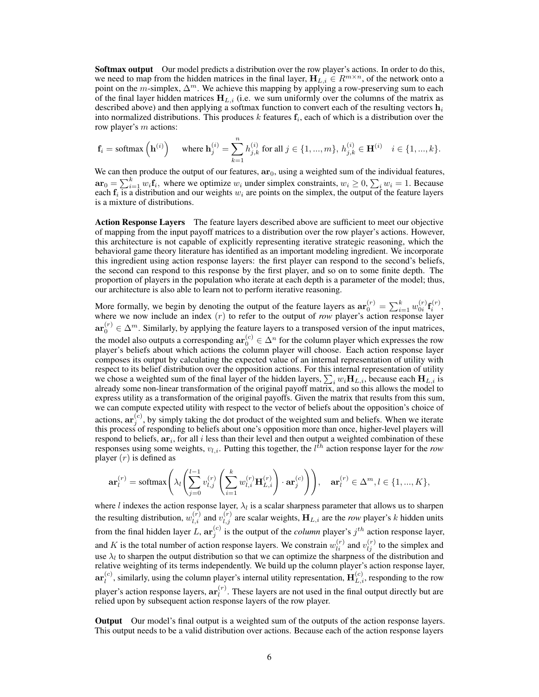**Softmax output** Our model predicts a distribution over the row player's actions. In order to do this, we need to map from the hidden matrices in the final layer,  $H_{L,i} \in R^{m \times n}$ , of the network onto a point on the m-simplex,  $\Delta^m$ . We achieve this mapping by applying a row-preserving sum to each of the final layer hidden matrices  $H_{L,i}$  (i.e. we sum uniformly over the columns of the matrix as described above) and then applying a softmax function to convert each of the resulting vectors  $h_i$ into normalized distributions. This produces k features  $f_i$ , each of which is a distribution over the row player's  $m$  actions:

$$
\mathbf{f}_i = \text{softmax}\left(\mathbf{h}^{(i)}\right) \quad \text{ where } \mathbf{h}_j^{(i)} = \sum_{k=1}^n h_{j,k}^{(i)} \text{ for all } j \in \{1, ..., m\}, \, h_{j,k}^{(i)} \in \mathbf{H}^{(i)} \quad i \in \{1, ..., k\}.
$$

We can then produce the output of our features,  $ar<sub>0</sub>$ , using a weighted sum of the individual features,  $\mathbf{ar}_0 = \sum_{i=1}^k w_i \mathbf{f}_i$ , where we optimize  $w_i$  under simplex constraints,  $w_i \geq 0$ ,  $\sum_i w_i = 1$ . Because each  $f_i$  is a distribution and our weights  $w_i$  are points on the simplex, the output of the feature layers is a mixture of distributions.

Action Response Layers The feature layers described above are sufficient to meet our objective of mapping from the input payoff matrices to a distribution over the row player's actions. However, this architecture is not capable of explicitly representing iterative strategic reasoning, which the behavioral game theory literature has identified as an important modeling ingredient. We incorporate this ingredient using action response layers: the first player can respond to the second's beliefs, the second can respond to this response by the first player, and so on to some finite depth. The proportion of players in the population who iterate at each depth is a parameter of the model; thus, our architecture is also able to learn not to perform iterative reasoning.

More formally, we begin by denoting the output of the feature layers as  $\mathbf{ar}_0^{(r)} = \sum_{i=1}^k w_{0i}^{(r)} \mathbf{f}_i^{(r)}$ , where we now include an index (r) to refer to the output of *row* player's action response layer  $\mathbf{ar}_0^{(r)} \in \Delta^m$ . Similarly, by applying the feature layers to a transposed version of the input matrices, the model also outputs a corresponding  $ar_0^{(c)} \in \Delta^n$  for the column player which expresses the row player's beliefs about which actions the column player will choose. Each action response layer composes its output by calculating the expected value of an internal representation of utility with respect to its belief distribution over the opposition actions. For this internal representation of utility we chose a weighted sum of the final layer of the hidden layers,  $\sum_i w_i \mathbf{H}_{L,i}$ , because each  $\mathbf{H}_{L,i}$  is already some non-linear transformation of the original payoff matrix, and so this allows the model to express utility as a transformation of the original payoffs. Given the matrix that results from this sum, we can compute expected utility with respect to the vector of beliefs about the opposition's choice of actions,  $ar_i^{(c)}$ , by simply taking the dot product of the weighted sum and beliefs. When we iterate  $\mathbf{a}$  this process of responding to beliefs about one's opposition more than once, higher-level players will respond to beliefs,  $ar_i$ , for all i less than their level and then output a weighted combination of these responses using some weights,  $v_{l,i}$ . Putting this together, the  $l^{\bar{t}h}$  action response layer for the *row* player  $(r)$  is defined as

$$
\mathbf{ar}_l^{(r)}=\operatorname{softmax}\Bigg(\lambda_l\Bigg(\sum_{j=0}^{l-1}v_{l,j}^{(r)}\left(\sum_{i=1}^{k}w_{l,i}^{(r)}\mathbf{H}_{L,i}^{(r)}\right)\cdot \mathbf{ar}_j^{(c)}\Bigg)\Bigg),\quad \mathbf{ar}_l^{(r)}\in\Delta^m, l\in\{1,...,K\},
$$

where l indexes the action response layer,  $\lambda_l$  is a scalar sharpness parameter that allows us to sharpen the resulting distribution,  $w_{l,i}^{(r)}$  and  $v_{l,j}^{(r)}$  are scalar weights,  $H_{L,i}$  are the *row* player's k hidden units from the final hidden layer L,  $\mathbf{ar}_j^{(c)}$  is the output of the *column* player's  $j^{th}$  action response layer, and K is the total number of action response layers. We constrain  $w_{li}^{(r)}$  and  $v_{lj}^{(r)}$  to the simplex and use  $\lambda_l$  to sharpen the output distribution so that we can optimize the sharpness of the distribution and relative weighting of its terms independently. We build up the column player's action response layer,  $\mathbf{ar}_l^{(c)}$  $\mathbf{H}_{l}^{(c)}$ , similarly, using the column player's internal utility representation,  $\mathbf{H}_{L,i}^{(c)}$ , responding to the row player's action response layers,  $\mathbf{ar}_l^{(r)}$  $\ell_l^{(r)}$ . These layers are not used in the final output directly but are relied upon by subsequent action response layers of the row player.

Output Our model's final output is a weighted sum of the outputs of the action response layers. This output needs to be a valid distribution over actions. Because each of the action response layers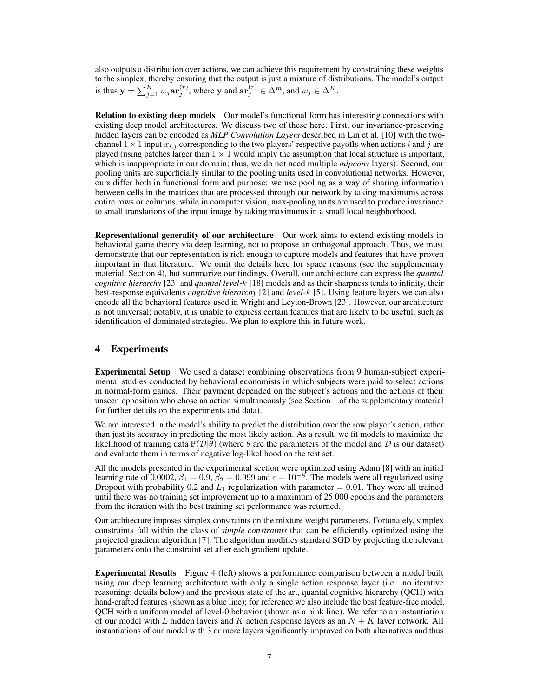also outputs a distribution over actions, we can achieve this requirement by constraining these weights to the simplex, thereby ensuring that the output is just a mixture of distributions. The model's output is thus  $y = \sum_{j=1}^{K} w_j \mathbf{ar}_j^{(r)}$ , where y and  $\mathbf{ar}_j^{(r)} \in \Delta^m$ , and  $w_j \in \Delta^K$ .

<span id="page-6-1"></span>Relation to existing deep models Our model's functional form has interesting connections with existing deep model architectures. We discuss two of these here. First, our invariance-preserving hidden layers can be encoded as *MLP Convolution Layers* described in Lin et al. [\[10\]](#page-8-21) with the twochannel  $1 \times 1$  input  $x_{i,j}$  corresponding to the two players' respective payoffs when actions i and j are played (using patches larger than  $1 \times 1$  would imply the assumption that local structure is important, which is inappropriate in our domain; thus, we do not need multiple *mlpconv* layers). Second, our pooling units are superficially similar to the pooling units used in convolutional networks. However, ours differ both in functional form and purpose: we use pooling as a way of sharing information between cells in the matrices that are processed through our network by taking maximums across entire rows or columns, while in computer vision, max-pooling units are used to produce invariance to small translations of the input image by taking maximums in a small local neighborhood.

Representational generality of our architecture Our work aims to extend existing models in behavioral game theory via deep learning, not to propose an orthogonal approach. Thus, we must demonstrate that our representation is rich enough to capture models and features that have proven important in that literature. We omit the details here for space reasons (see the supplementary material, Section 4), but summarize our findings. Overall, our architecture can express the *quantal cognitive hierarchy* [\[23\]](#page-8-9) and *quantal level-*k [\[18\]](#page-8-15) models and as their sharpness tends to infinity, their best-response equivalents *cognitive hierarchy* [\[2\]](#page-8-14) and *level-*k [\[5\]](#page-8-13). Using feature layers we can also encode all the behavioral features used in Wright and Leyton-Brown [\[23\]](#page-8-9). However, our architecture is not universal; notably, it is unable to express certain features that are likely to be useful, such as identification of dominated strategies. We plan to explore this in future work.

## 4 Experiments

Experimental Setup We used a dataset combining observations from 9 human-subject experimental studies conducted by behavioral economists in which subjects were paid to select actions in normal-form games. Their payment depended on the subject's actions and the actions of their unseen opposition who chose an action simultaneously (see Section 1 of the supplementary material for further details on the experiments and data).

We are interested in the model's ability to predict the distribution over the row player's action, rather than just its accuracy in predicting the most likely action. As a result, we fit models to maximize the likelihood of training data  $\mathbb{P}(\mathcal{D}|\theta)$  (where  $\theta$  are the parameters of the model and  $\mathcal D$  is our dataset) and evaluate them in terms of negative log-likelihood on the test set.

All the models presented in the experimental section were optimized using Adam [\[8\]](#page-8-22) with an initial learning rate of 0.0002,  $\beta_1 = 0.9$ ,  $\beta_2 = 0.999$  and  $\epsilon = 10^{-8}$ . The models were all regularized using Dropout with probability 0.2 and  $L_1$  regularization with parameter = 0.01. They were all trained until there was no training set improvement up to a maximum of 25 000 epochs and the parameters from the iteration with the best training set performance was returned.

Our architecture imposes simplex constraints on the mixture weight parameters. Fortunately, simplex constraints fall within the class of *simple constraints* that can be efficiently optimized using the projected gradient algorithm [\[7\]](#page-8-23). The algorithm modifies standard SGD by projecting the relevant parameters onto the constraint set after each gradient update.

<span id="page-6-0"></span>Experimental Results Figure [4](#page-7-0) (left) shows a performance comparison between a model built using our deep learning architecture with only a single action response layer (i.e. no iterative reasoning; details below) and the previous state of the art, quantal cognitive hierarchy (QCH) with hand-crafted features (shown as a blue line); for reference we also include the best feature-free model, QCH with a uniform model of level-0 behavior (shown as a pink line). We refer to an instantiation of our model with L hidden layers and K action response layers as an  $N + K$  layer network. All instantiations of our model with 3 or more layers significantly improved on both alternatives and thus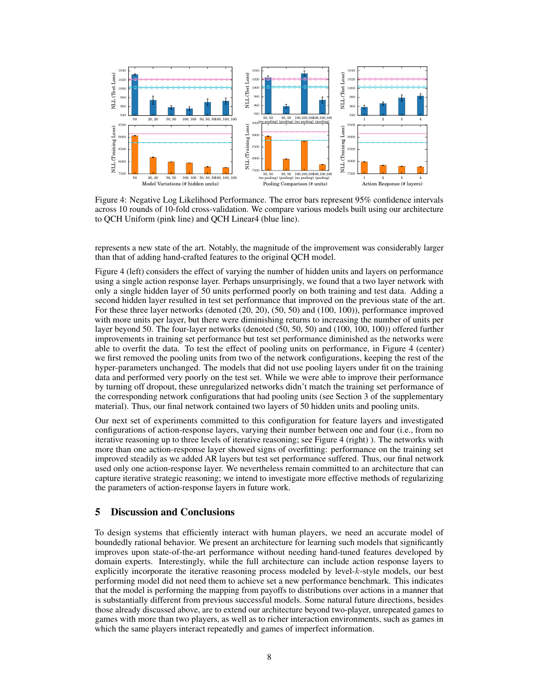<span id="page-7-0"></span>

Figure 4: Negative Log Likelihood Performance. The error bars represent 95% confidence intervals across 10 rounds of 10-fold cross-validation. We compare various models built using our architecture to QCH Uniform (pink line) and QCH Linear4 (blue line).

represents a new state of the art. Notably, the magnitude of the improvement was considerably larger than that of adding hand-crafted features to the original QCH model.

Figure [4](#page-7-0) (left) considers the effect of varying the number of hidden units and layers on performance using a single action response layer. Perhaps unsurprisingly, we found that a two layer network with only a single hidden layer of 50 units performed poorly on both training and test data. Adding a second hidden layer resulted in test set performance that improved on the previous state of the art. For these three layer networks (denoted (20, 20), (50, 50) and (100, 100)), performance improved with more units per layer, but there were diminishing returns to increasing the number of units per layer beyond 50. The four-layer networks (denoted (50, 50, 50) and (100, 100, 100)) offered further improvements in training set performance but test set performance diminished as the networks were able to overfit the data. To test the effect of pooling units on performance, in Figure [4](#page-7-0) (center) we first removed the pooling units from two of the network configurations, keeping the rest of the hyper-parameters unchanged. The models that did not use pooling layers under fit on the training data and performed very poorly on the test set. While we were able to improve their performance by turning off dropout, these unregularized networks didn't match the training set performance of the corresponding network configurations that had pooling units (see Section 3 of the supplementary material). Thus, our final network contained two layers of 50 hidden units and pooling units.

Our next set of experiments committed to this configuration for feature layers and investigated configurations of action-response layers, varying their number between one and four (i.e., from no iterative reasoning up to three levels of iterative reasoning; see Figure [4](#page-7-0) (right) ). The networks with more than one action-response layer showed signs of overfitting: performance on the training set improved steadily as we added AR layers but test set performance suffered. Thus, our final network used only one action-response layer. We nevertheless remain committed to an architecture that can capture iterative strategic reasoning; we intend to investigate more effective methods of regularizing the parameters of action-response layers in future work.

## 5 Discussion and Conclusions

To design systems that efficiently interact with human players, we need an accurate model of boundedly rational behavior. We present an architecture for learning such models that significantly improves upon state-of-the-art performance without needing hand-tuned features developed by domain experts. Interestingly, while the full architecture can include action response layers to explicitly incorporate the iterative reasoning process modeled by level-k-style models, our best performing model did not need them to achieve set a new performance benchmark. This indicates that the model is performing the mapping from payoffs to distributions over actions in a manner that is substantially different from previous successful models. Some natural future directions, besides those already discussed above, are to extend our architecture beyond two-player, unrepeated games to games with more than two players, as well as to richer interaction environments, such as games in which the same players interact repeatedly and games of imperfect information.